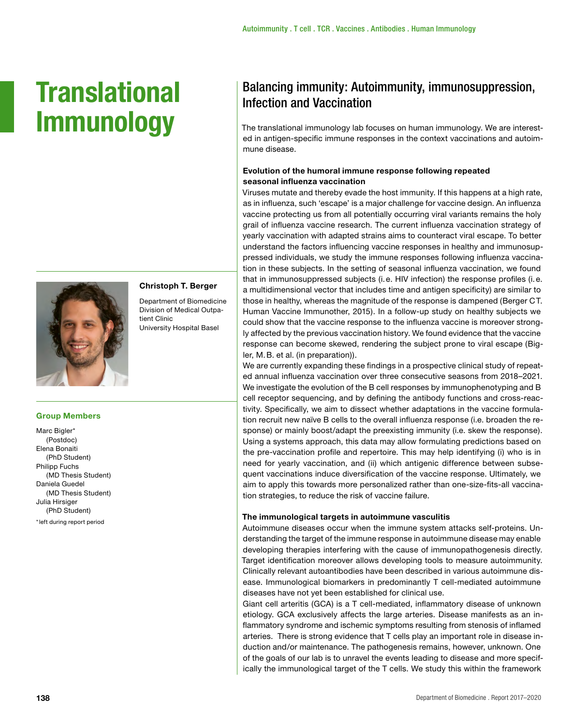# **Translational Immunology**



**Christoph T. Berger** Department of Biomedicine Division of Medical Outpa-

University Hospital Basel

tient Clinic

# **Group Members**

Marc Bigler\* (Postdoc) Elena Bonaiti (PhD Student) Philipp Fuchs (MD Thesis Student) Daniela Guedel (MD Thesis Student) Julia Hirsiger (PhD Student) \*left during report period

## Balancing immunity: Autoimmunity, immunosuppression, Infection and Vaccination

The translational immunology lab focuses on human immunology. We are interested in antigen-specific immune responses in the context vaccinations and autoimmune disease.

#### **Evolution of the humoral immune response following repeated seasonal influenza vaccination**

Viruses mutate and thereby evade the host immunity. If this happens at a high rate, as in influenza, such 'escape' is a major challenge for vaccine design. An influenza vaccine protecting us from all potentially occurring viral variants remains the holy grail of influenza vaccine research. The current influenza vaccination strategy of yearly vaccination with adapted strains aims to counteract viral escape. To better understand the factors influencing vaccine responses in healthy and immunosuppressed individuals, we study the immune responses following influenza vaccination in these subjects. In the setting of seasonal influenza vaccination, we found that in immunosuppressed subjects (i.e. HIV infection) the response profiles (i.e. a multidimensional vector that includes time and antigen specificity) are similar to those in healthy, whereas the magnitude of the response is dampened (Berger CT. Human Vaccine Immunother, 2015). In a follow-up study on healthy subjects we could show that the vaccine response to the influenza vaccine is moreover strongly affected by the previous vaccination history. We found evidence that the vaccine response can become skewed, rendering the subject prone to viral escape (Bigler, M.B. et al. (in preparation)).

We are currently expanding these findings in a prospective clinical study of repeated annual influenza vaccination over three consecutive seasons from 2018–2021. We investigate the evolution of the B cell responses by immunophenotyping and B cell receptor sequencing, and by defining the antibody functions and cross-reactivity. Specifically, we aim to dissect whether adaptations in the vaccine formulation recruit new naïve B cells to the overall influenza response (i.e. broaden the response) or mainly boost/adapt the preexisting immunity (i.e. skew the response). Using a systems approach, this data may allow formulating predictions based on the pre-vaccination profile and repertoire. This may help identifying (i) who is in need for yearly vaccination, and (ii) which antigenic difference between subsequent vaccinations induce diversification of the vaccine response. Ultimately, we aim to apply this towards more personalized rather than one-size-fits-all vaccination strategies, to reduce the risk of vaccine failure.

#### **The immunological targets in autoimmune vasculitis**

Autoimmune diseases occur when the immune system attacks self-proteins. Understanding the target of the immune response in autoimmune disease may enable developing therapies interfering with the cause of immunopathogenesis directly. Target identification moreover allows developing tools to measure autoimmunity. Clinically relevant autoantibodies have been described in various autoimmune disease. Immunological biomarkers in predominantly T cell-mediated autoimmune diseases have not yet been established for clinical use.

Giant cell arteritis (GCA) is a T cell-mediated, inflammatory disease of unknown etiology. GCA exclusively affects the large arteries. Disease manifests as an inflammatory syndrome and ischemic symptoms resulting from stenosis of inflamed arteries. There is strong evidence that T cells play an important role in disease induction and/or maintenance. The pathogenesis remains, however, unknown. One of the goals of our lab is to unravel the events leading to disease and more specifically the immunological target of the T cells. We study this within the framework